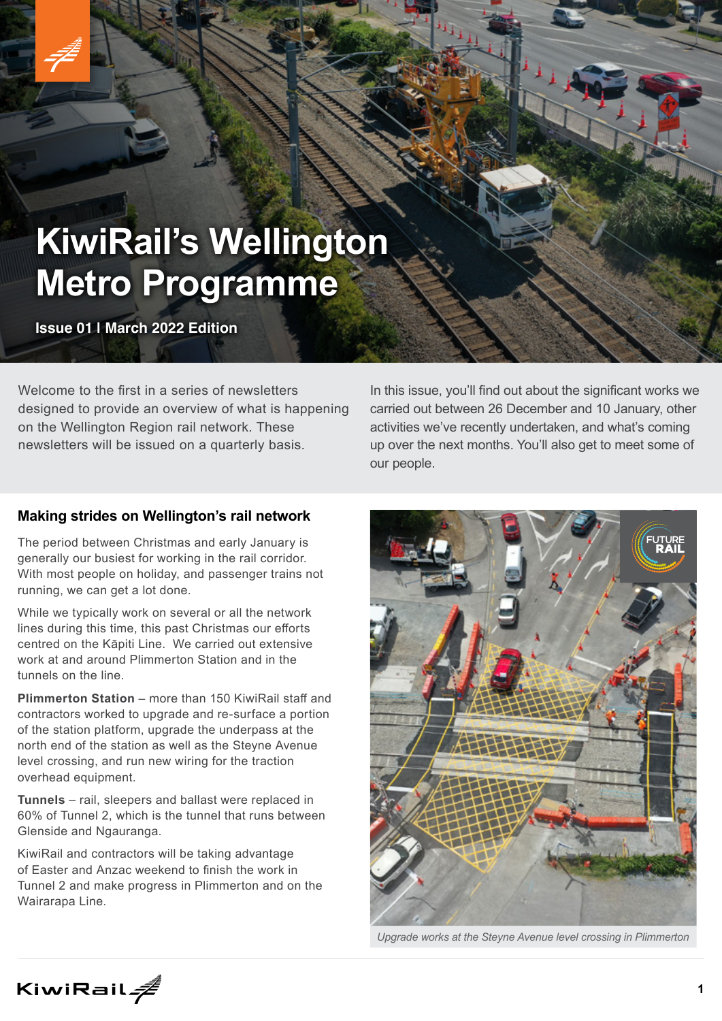# **KiwiRail's Wellington Metro Programme**

**Issue 01 | March 2022 Edition**

Welcome to the first in a series of newsletters designed to provide an overview of what is happening on the Wellington Region rail network. These newsletters will be issued on a quarterly basis.

In this issue, you'll find out about the significant works we carried out between 26 December and 10 January, other activities we've recently undertaken, and what's coming up over the next months. You'll also get to meet some of our people.

## **Making strides on Wellington's rail network**

The period between Christmas and early January is generally our busiest for working in the rail corridor. With most people on holiday, and passenger trains not running, we can get a lot done.

While we typically work on several or all the network lines during this time, this past Christmas our efforts centred on the Kāpiti Line. We carried out extensive work at and around Plimmerton Station and in the tunnels on the line.

**Plimmerton Station** – more than 150 KiwiRail staff and contractors worked to upgrade and re-surface a portion of the station platform, upgrade the underpass at the north end of the station as well as the Steyne Avenue level crossing, and run new wiring for the traction overhead equipment.

**Tunnels** – rail, sleepers and ballast were replaced in 60% of Tunnel 2, which is the tunnel that runs between Glenside and Ngauranga.

KiwiRail and contractors will be taking advantage of Easter and Anzac weekend to finish the work in Tunnel 2 and make progress in Plimmerton and on the Wairarapa Line.



*Upgrade works at the Steyne Avenue level crossing in Plimmerton*

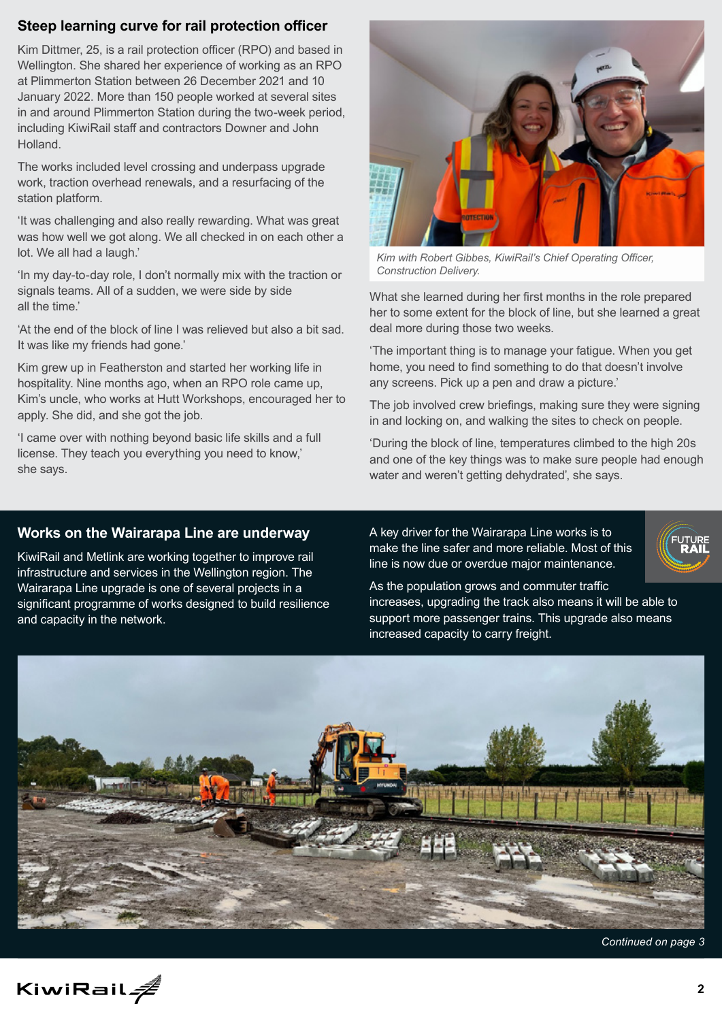### **Steep learning curve for rail protection officer**

Kim Dittmer, 25, is a rail protection officer (RPO) and based in Wellington. She shared her experience of working as an RPO at Plimmerton Station between 26 December 2021 and 10 January 2022. More than 150 people worked at several sites in and around Plimmerton Station during the two-week period, including KiwiRail staff and contractors Downer and John Holland.

The works included level crossing and underpass upgrade work, traction overhead renewals, and a resurfacing of the station platform.

'It was challenging and also really rewarding. What was great was how well we got along. We all checked in on each other a lot. We all had a laugh.'

'In my day-to-day role, I don't normally mix with the traction or signals teams. All of a sudden, we were side by side all the time.'

'At the end of the block of line I was relieved but also a bit sad. It was like my friends had gone.'

Kim grew up in Featherston and started her working life in hospitality. Nine months ago, when an RPO role came up, Kim's uncle, who works at Hutt Workshops, encouraged her to apply. She did, and she got the job.

'I came over with nothing beyond basic life skills and a full license. They teach you everything you need to know,' she says.



*Kim with Robert Gibbes, KiwiRail's Chief Operating Officer, Construction Delivery.*

What she learned during her first months in the role prepared her to some extent for the block of line, but she learned a great deal more during those two weeks.

'The important thing is to manage your fatigue. When you get home, you need to find something to do that doesn't involve any screens. Pick up a pen and draw a picture.'

The job involved crew briefings, making sure they were signing in and locking on, and walking the sites to check on people.

'During the block of line, temperatures climbed to the high 20s and one of the key things was to make sure people had enough water and weren't getting dehydrated', she says.

#### **Works on the Wairarapa Line are underway**

KiwiRail and Metlink are working together to improve rail infrastructure and services in the Wellington region. The Wairarapa Line upgrade is one of several projects in a significant programme of works designed to build resilience and capacity in the network.

A key driver for the Wairarapa Line works is to make the line safer and more reliable. Most of this line is now due or overdue major maintenance.



As the population grows and commuter traffic increases, upgrading the track also means it will be able to support more passenger trains. This upgrade also means increased capacity to carry freight.



*Continued on page 3*

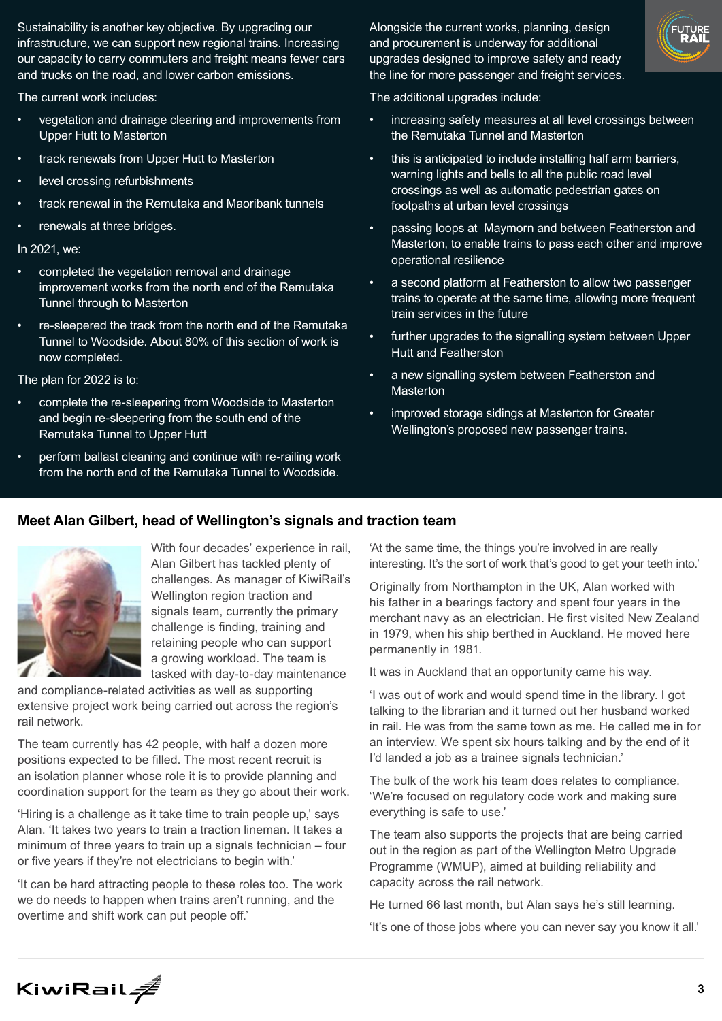Sustainability is another key objective. By upgrading our infrastructure, we can support new regional trains. Increasing our capacity to carry commuters and freight means fewer cars and trucks on the road, and lower carbon emissions.

The current work includes:

- vegetation and drainage clearing and improvements from Upper Hutt to Masterton
- track renewals from Upper Hutt to Masterton
- level crossing refurbishments
- track renewal in the Remutaka and Maoribank tunnels
- renewals at three bridges.

In 2021, we:

- completed the vegetation removal and drainage improvement works from the north end of the Remutaka Tunnel through to Masterton
- re-sleepered the track from the north end of the Remutaka Tunnel to Woodside. About 80% of this section of work is now completed.

The plan for 2022 is to:

- complete the re-sleepering from Woodside to Masterton and begin re-sleepering from the south end of the Remutaka Tunnel to Upper Hutt
- perform ballast cleaning and continue with re-railing work from the north end of the Remutaka Tunnel to Woodside.

Alongside the current works, planning, design and procurement is underway for additional upgrades designed to improve safety and ready the line for more passenger and freight services.



The additional upgrades include:

- increasing safety measures at all level crossings between the Remutaka Tunnel and Masterton
- this is anticipated to include installing half arm barriers, warning lights and bells to all the public road level crossings as well as automatic pedestrian gates on footpaths at urban level crossings
- passing loops at Maymorn and between Featherston and Masterton, to enable trains to pass each other and improve operational resilience
- a second platform at Featherston to allow two passenger trains to operate at the same time, allowing more frequent train services in the future
- further upgrades to the signalling system between Upper Hutt and Featherston
- a new signalling system between Featherston and Masterton
- improved storage sidings at Masterton for Greater Wellington's proposed new passenger trains.

#### **Meet Alan Gilbert, head of Wellington's signals and traction team**



With four decades' experience in rail, Alan Gilbert has tackled plenty of challenges. As manager of KiwiRail's Wellington region traction and signals team, currently the primary challenge is finding, training and retaining people who can support a growing workload. The team is tasked with day-to-day maintenance

and compliance-related activities as well as supporting extensive project work being carried out across the region's rail network.

The team currently has 42 people, with half a dozen more positions expected to be filled. The most recent recruit is an isolation planner whose role it is to provide planning and coordination support for the team as they go about their work.

'Hiring is a challenge as it take time to train people up,' says Alan. 'It takes two years to train a traction lineman. It takes a minimum of three years to train up a signals technician – four or five years if they're not electricians to begin with.'

'It can be hard attracting people to these roles too. The work we do needs to happen when trains aren't running, and the overtime and shift work can put people off.'

'At the same time, the things you're involved in are really interesting. It's the sort of work that's good to get your teeth into.'

Originally from Northampton in the UK, Alan worked with his father in a bearings factory and spent four years in the merchant navy as an electrician. He first visited New Zealand in 1979, when his ship berthed in Auckland. He moved here permanently in 1981.

It was in Auckland that an opportunity came his way.

'I was out of work and would spend time in the library. I got talking to the librarian and it turned out her husband worked in rail. He was from the same town as me. He called me in for an interview. We spent six hours talking and by the end of it I'd landed a job as a trainee signals technician.'

The bulk of the work his team does relates to compliance. 'We're focused on regulatory code work and making sure everything is safe to use.'

The team also supports the projects that are being carried out in the region as part of the Wellington Metro Upgrade Programme (WMUP), aimed at building reliability and capacity across the rail network.

He turned 66 last month, but Alan says he's still learning.

'It's one of those jobs where you can never say you know it all.'